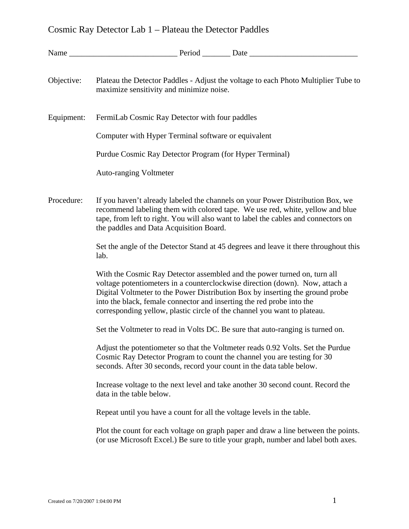# Cosmic Ray Detector Lab 1 – Plateau the Detector Paddles

| Objective: | Plateau the Detector Paddles - Adjust the voltage to each Photo Multiplier Tube to<br>maximize sensitivity and minimize noise.                                                                                                                                                                                                                                                                 |
|------------|------------------------------------------------------------------------------------------------------------------------------------------------------------------------------------------------------------------------------------------------------------------------------------------------------------------------------------------------------------------------------------------------|
| Equipment: | FermiLab Cosmic Ray Detector with four paddles                                                                                                                                                                                                                                                                                                                                                 |
|            | Computer with Hyper Terminal software or equivalent                                                                                                                                                                                                                                                                                                                                            |
|            | Purdue Cosmic Ray Detector Program (for Hyper Terminal)                                                                                                                                                                                                                                                                                                                                        |
|            | <b>Auto-ranging Voltmeter</b>                                                                                                                                                                                                                                                                                                                                                                  |
| Procedure: | If you haven't already labeled the channels on your Power Distribution Box, we<br>recommend labeling them with colored tape. We use red, white, yellow and blue<br>tape, from left to right. You will also want to label the cables and connectors on<br>the paddles and Data Acquisition Board.                                                                                               |
|            | Set the angle of the Detector Stand at 45 degrees and leave it there throughout this<br>lab.                                                                                                                                                                                                                                                                                                   |
|            | With the Cosmic Ray Detector assembled and the power turned on, turn all<br>voltage potentiometers in a counterclockwise direction (down). Now, attach a<br>Digital Voltmeter to the Power Distribution Box by inserting the ground probe<br>into the black, female connector and inserting the red probe into the<br>corresponding yellow, plastic circle of the channel you want to plateau. |
|            | Set the Voltmeter to read in Volts DC. Be sure that auto-ranging is turned on.                                                                                                                                                                                                                                                                                                                 |
|            | Adjust the potentiometer so that the Voltmeter reads 0.92 Volts. Set the Purdue<br>Cosmic Ray Detector Program to count the channel you are testing for 30<br>seconds. After 30 seconds, record your count in the data table below.                                                                                                                                                            |
|            | Increase voltage to the next level and take another 30 second count. Record the<br>data in the table below.                                                                                                                                                                                                                                                                                    |
|            | Repeat until you have a count for all the voltage levels in the table.                                                                                                                                                                                                                                                                                                                         |
|            | Plot the count for each voltage on graph paper and draw a line between the points.<br>(or use Microsoft Excel.) Be sure to title your graph, number and label both axes.                                                                                                                                                                                                                       |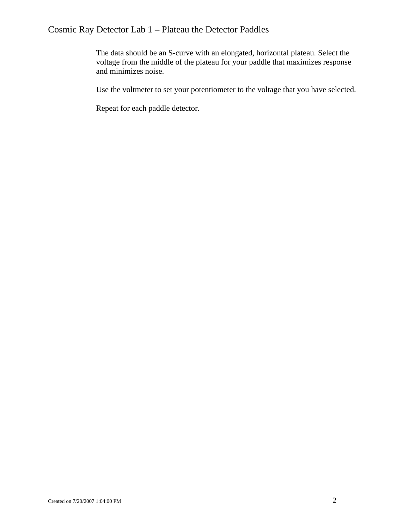## Cosmic Ray Detector Lab 1 – Plateau the Detector Paddles

The data should be an S-curve with an elongated, horizontal plateau. Select the voltage from the middle of the plateau for your paddle that maximizes response and minimizes noise.

Use the voltmeter to set your potentiometer to the voltage that you have selected.

Repeat for each paddle detector.